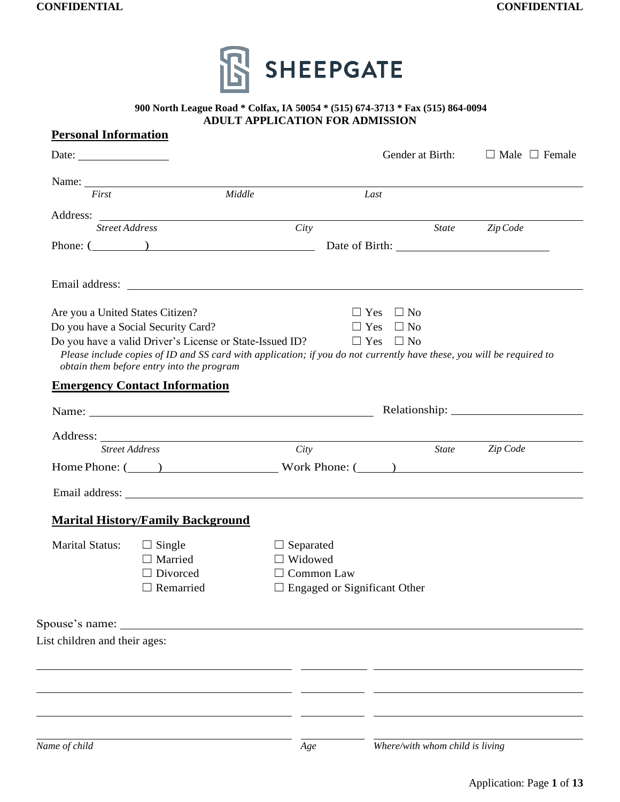

#### **900 North League Road \* Colfax, IA 50054 \* (515) 674-3713 \* Fax (515) 864-0094 ADULT APPLICATION FOR ADMISSION**

| <b>Personal Information</b>                              |                                                                                                                                  |                  |                                     |                                 |                                                                                                                       |
|----------------------------------------------------------|----------------------------------------------------------------------------------------------------------------------------------|------------------|-------------------------------------|---------------------------------|-----------------------------------------------------------------------------------------------------------------------|
| Date: $\frac{1}{\sqrt{1-\frac{1}{2}} \cdot \frac{1}{2}}$ |                                                                                                                                  |                  |                                     | Gender at Birth:                | $\Box$ Male $\Box$ Female                                                                                             |
|                                                          | Name: Name:                                                                                                                      |                  |                                     |                                 |                                                                                                                       |
| First                                                    |                                                                                                                                  | Middle           | Last                                |                                 |                                                                                                                       |
| <b>Street Address</b>                                    |                                                                                                                                  | City             |                                     | State                           | Zip Code                                                                                                              |
|                                                          |                                                                                                                                  |                  |                                     |                                 |                                                                                                                       |
|                                                          |                                                                                                                                  |                  |                                     |                                 |                                                                                                                       |
|                                                          |                                                                                                                                  |                  |                                     |                                 |                                                                                                                       |
| Are you a United States Citizen?                         |                                                                                                                                  |                  |                                     | $\Box$ Yes $\Box$ No            |                                                                                                                       |
|                                                          | Do you have a Social Security Card?                                                                                              |                  |                                     | $\Box$ Yes $\Box$ No            |                                                                                                                       |
|                                                          | Do you have a valid Driver's License or State-Issued ID? $\square$ Yes $\square$ No<br>obtain them before entry into the program |                  |                                     |                                 | Please include copies of ID and SS card with application; if you do not currently have these, you will be required to |
|                                                          | <b>Emergency Contact Information</b>                                                                                             |                  |                                     |                                 |                                                                                                                       |
|                                                          |                                                                                                                                  |                  |                                     |                                 |                                                                                                                       |
|                                                          |                                                                                                                                  |                  |                                     |                                 |                                                                                                                       |
| <b>Street Address</b>                                    |                                                                                                                                  | City             |                                     |                                 | State Zip Code                                                                                                        |
|                                                          |                                                                                                                                  |                  |                                     |                                 | Home Phone: (2008) Work Phone: (2008) Work Phone: (2008) 2014                                                         |
|                                                          |                                                                                                                                  |                  |                                     |                                 |                                                                                                                       |
|                                                          | <b>Marital History/Family Background</b>                                                                                         |                  |                                     |                                 |                                                                                                                       |
| Marital Status: $\Box$ Single                            |                                                                                                                                  | $\Box$ Separated |                                     |                                 |                                                                                                                       |
|                                                          | $\Box$ Married                                                                                                                   | $\Box$ Widowed   |                                     |                                 |                                                                                                                       |
|                                                          | $\Box$ Divorced                                                                                                                  |                  | $\Box$ Common Law                   |                                 |                                                                                                                       |
|                                                          | Remarried                                                                                                                        |                  | $\Box$ Engaged or Significant Other |                                 |                                                                                                                       |
|                                                          | Spouse's name:                                                                                                                   |                  |                                     |                                 |                                                                                                                       |
| List children and their ages:                            |                                                                                                                                  |                  |                                     |                                 |                                                                                                                       |
|                                                          |                                                                                                                                  |                  |                                     |                                 |                                                                                                                       |
|                                                          |                                                                                                                                  |                  |                                     |                                 |                                                                                                                       |
| Name of child                                            |                                                                                                                                  | Age              |                                     | Where/with whom child is living |                                                                                                                       |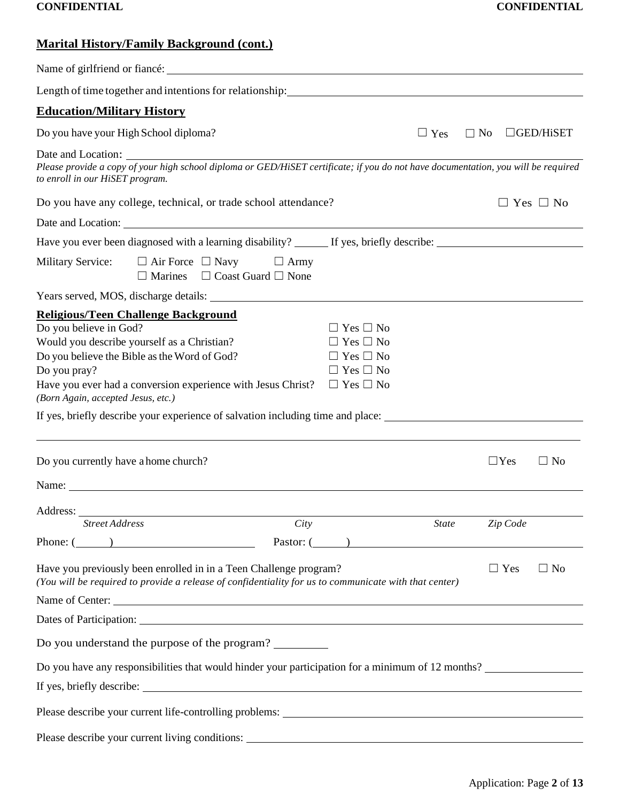| <b>Marital History/Family Background (cont.)</b> |  |
|--------------------------------------------------|--|
|                                                  |  |

| <b>Education/Military History</b>                                                                                                                                                                                                                                                                                                                                     |                                                                                                                      |              |            |                      |           |
|-----------------------------------------------------------------------------------------------------------------------------------------------------------------------------------------------------------------------------------------------------------------------------------------------------------------------------------------------------------------------|----------------------------------------------------------------------------------------------------------------------|--------------|------------|----------------------|-----------|
| Do you have your High School diploma?                                                                                                                                                                                                                                                                                                                                 |                                                                                                                      | $\Box$ Yes   | $\Box$ No  | $\Box$ GED/HiSET     |           |
| Please provide a copy of your high school diploma or GED/HiSET certificate; if you do not have documentation, you will be required<br>to enroll in our HiSET program.                                                                                                                                                                                                 |                                                                                                                      |              |            |                      |           |
| Do you have any college, technical, or trade school attendance?                                                                                                                                                                                                                                                                                                       |                                                                                                                      |              |            | $\Box$ Yes $\Box$ No |           |
|                                                                                                                                                                                                                                                                                                                                                                       |                                                                                                                      |              |            |                      |           |
| Have you ever been diagnosed with a learning disability? _______ If yes, briefly describe: ___________________                                                                                                                                                                                                                                                        |                                                                                                                      |              |            |                      |           |
| Military Service: $\Box$ Air Force $\Box$ Navy $\Box$ Army<br>$\Box$ Marines $\Box$ Coast Guard $\Box$ None                                                                                                                                                                                                                                                           |                                                                                                                      |              |            |                      |           |
|                                                                                                                                                                                                                                                                                                                                                                       |                                                                                                                      |              |            |                      |           |
| Religious/Teen Challenge Background<br>Do you believe in God?<br>Would you describe yourself as a Christian?<br>Do you believe the Bible as the Word of God?<br>Do you pray?<br>Have you ever had a conversion experience with Jesus Christ?<br>(Born Again, accepted Jesus, etc.)<br>If yes, briefly describe your experience of salvation including time and place: | $\Box$ Yes $\Box$ No<br>$\Box$ Yes $\Box$ No<br>$\Box$ Yes $\Box$ No<br>$\Box$ Yes $\Box$ No<br>$\Box$ Yes $\Box$ No |              |            |                      |           |
| Do you currently have a home church?                                                                                                                                                                                                                                                                                                                                  |                                                                                                                      |              | $\Box$ Yes |                      | $\Box$ No |
| Name:                                                                                                                                                                                                                                                                                                                                                                 |                                                                                                                      |              |            |                      |           |
| Address:                                                                                                                                                                                                                                                                                                                                                              |                                                                                                                      |              |            |                      |           |
| City<br><b>Street Address</b>                                                                                                                                                                                                                                                                                                                                         |                                                                                                                      | <b>State</b> | Zip Code   |                      |           |
| Phone: $($ $)$<br>Have you previously been enrolled in in a Teen Challenge program?<br>(You will be required to provide a release of confidentiality for us to communicate with that center)<br>Name of Center:                                                                                                                                                       | Pastor: $($                                                                                                          |              | $\Box$ Yes |                      | $\Box$ No |
|                                                                                                                                                                                                                                                                                                                                                                       |                                                                                                                      |              |            |                      |           |
| Do you understand the purpose of the program?                                                                                                                                                                                                                                                                                                                         |                                                                                                                      |              |            |                      |           |
| Do you have any responsibilities that would hinder your participation for a minimum of 12 months?                                                                                                                                                                                                                                                                     |                                                                                                                      |              |            |                      |           |
|                                                                                                                                                                                                                                                                                                                                                                       |                                                                                                                      |              |            |                      |           |
|                                                                                                                                                                                                                                                                                                                                                                       |                                                                                                                      |              |            |                      |           |
|                                                                                                                                                                                                                                                                                                                                                                       |                                                                                                                      |              |            |                      |           |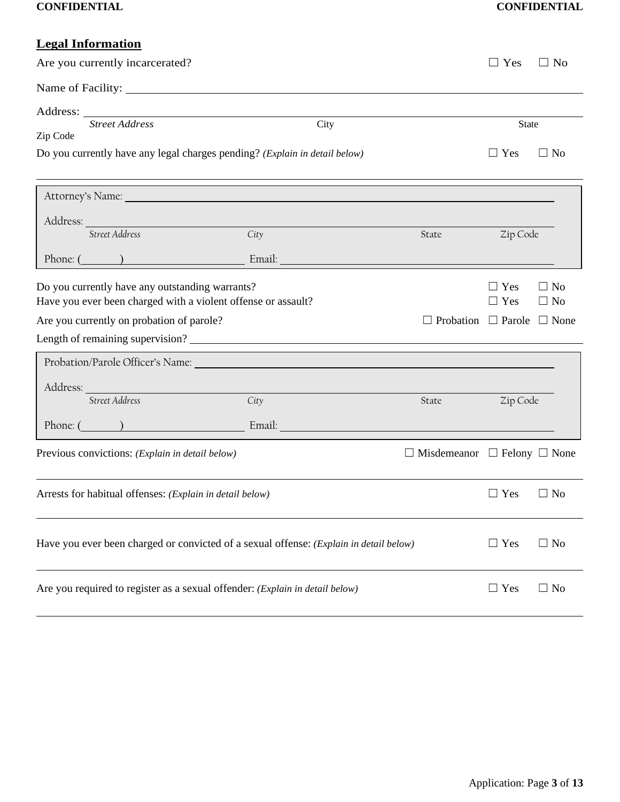|          | <b>Legal Information</b>                                                                                                                                      |                                                                                                                                                                                                                                     |                                              |                          |                        |
|----------|---------------------------------------------------------------------------------------------------------------------------------------------------------------|-------------------------------------------------------------------------------------------------------------------------------------------------------------------------------------------------------------------------------------|----------------------------------------------|--------------------------|------------------------|
|          | Are you currently incarcerated?                                                                                                                               |                                                                                                                                                                                                                                     |                                              | $\Box$ Yes               | $\Box$ No              |
|          |                                                                                                                                                               |                                                                                                                                                                                                                                     |                                              |                          |                        |
|          | <b>Street Address</b>                                                                                                                                         |                                                                                                                                                                                                                                     |                                              |                          |                        |
| Zip Code |                                                                                                                                                               | City                                                                                                                                                                                                                                |                                              | <b>State</b>             |                        |
|          | Do you currently have any legal charges pending? (Explain in detail below)                                                                                    |                                                                                                                                                                                                                                     |                                              | $\Box$ Yes               | $\Box$ No              |
|          |                                                                                                                                                               | Attorney's Name: Name: Name: Name: Name: Name: Name: Name: Name: Name: Name: Name: Name: Name: Name: Name: Name: Name: Name: Name: Name: Name: Name: Name: Name: Name: Name: Name: Name: Name: Name: Name: Name: Name: Name: N      |                                              |                          |                        |
|          |                                                                                                                                                               |                                                                                                                                                                                                                                     |                                              |                          |                        |
|          | Street Address                                                                                                                                                | City                                                                                                                                                                                                                                | State                                        | Zip Code                 |                        |
|          | Phone: $($                                                                                                                                                    | Email: <u>Alexander and Alexander and Alexander and Alexander and Alexander and Alexander and Alexander and Alex</u>                                                                                                                |                                              |                          |                        |
|          | Do you currently have any outstanding warrants?<br>Have you ever been charged with a violent offense or assault?<br>Are you currently on probation of parole? |                                                                                                                                                                                                                                     | $\Box$ Probation $\Box$ Parole $\Box$ None   | $\Box$ Yes<br>$\Box$ Yes | $\Box$ No<br>$\Box$ No |
|          |                                                                                                                                                               |                                                                                                                                                                                                                                     |                                              |                          |                        |
|          |                                                                                                                                                               | Address: <u>Address:</u> Address: Address: Address: Address: Address: Address: Address: Address: Address: Address: Address: Address: Address: Address: Address: Address: Address: Address: Address: Address: Address: Address: Addr |                                              |                          |                        |
|          | Street Address                                                                                                                                                | City                                                                                                                                                                                                                                | State                                        | Zip Code                 |                        |
|          |                                                                                                                                                               | Phone: ( ) Email: Email:                                                                                                                                                                                                            |                                              |                          |                        |
|          | Previous convictions: (Explain in detail below)                                                                                                               |                                                                                                                                                                                                                                     | $\Box$ Misdemeanor $\Box$ Felony $\Box$ None |                          |                        |
|          | Arrests for habitual offenses: (Explain in detail below)                                                                                                      |                                                                                                                                                                                                                                     |                                              | $\Box$ Yes               | $\Box$ No              |
|          |                                                                                                                                                               | Have you ever been charged or convicted of a sexual offense: (Explain in detail below)                                                                                                                                              |                                              | $\Box$ Yes               | $\Box$ No              |
|          | Are you required to register as a sexual offender: (Explain in detail below)                                                                                  |                                                                                                                                                                                                                                     |                                              | $\Box$ Yes               | $\Box$ No              |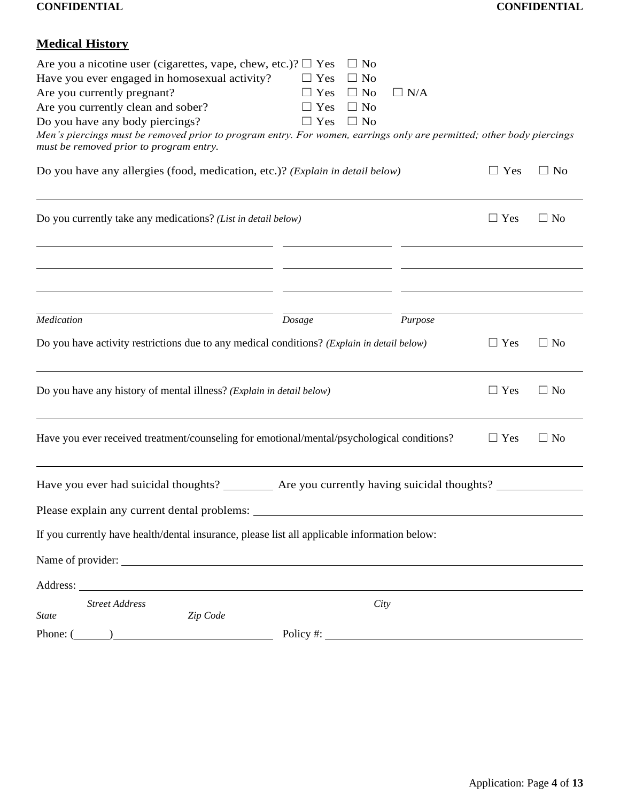## **Medical History**

| Are you a nicotine user (cigarettes, vape, chew, etc.)? $\Box$ Yes<br>Have you ever engaged in homosexual activity?<br>Are you currently pregnant?<br>Are you currently clean and sober?<br>Do you have any body piercings?<br>Men's piercings must be removed prior to program entry. For women, earrings only are permitted; other body piercings<br>must be removed prior to program entry. | $\Box$ No<br>$\Box$ Yes<br>$\Box$ No<br>$\Box$ Yes<br>$\Box$ No<br>$\Box$ Yes<br>$\Box$ No<br>$\Box$ Yes<br>$\Box$ No | $\Box$ N/A |            |           |
|------------------------------------------------------------------------------------------------------------------------------------------------------------------------------------------------------------------------------------------------------------------------------------------------------------------------------------------------------------------------------------------------|-----------------------------------------------------------------------------------------------------------------------|------------|------------|-----------|
| Do you have any allergies (food, medication, etc.)? (Explain in detail below)                                                                                                                                                                                                                                                                                                                  |                                                                                                                       |            | $\Box$ Yes | $\Box$ No |
| Do you currently take any medications? (List in detail below)                                                                                                                                                                                                                                                                                                                                  |                                                                                                                       |            | $\Box$ Yes | $\Box$ No |
|                                                                                                                                                                                                                                                                                                                                                                                                |                                                                                                                       |            |            |           |
| Medication                                                                                                                                                                                                                                                                                                                                                                                     | Dosage                                                                                                                | Purpose    |            |           |
| Do you have activity restrictions due to any medical conditions? (Explain in detail below)                                                                                                                                                                                                                                                                                                     |                                                                                                                       |            | $\Box$ Yes | $\Box$ No |
| Do you have any history of mental illness? (Explain in detail below)                                                                                                                                                                                                                                                                                                                           |                                                                                                                       |            | $\Box$ Yes | $\Box$ No |
| Have you ever received treatment/counseling for emotional/mental/psychological conditions?                                                                                                                                                                                                                                                                                                     |                                                                                                                       |            | $\Box$ Yes | $\Box$ No |
| Have you ever had suicidal thoughts? ___________ Are you currently having suicidal thoughts? ______<br>Please explain any current dental problems:                                                                                                                                                                                                                                             |                                                                                                                       |            |            |           |
| If you currently have health/dental insurance, please list all applicable information below:                                                                                                                                                                                                                                                                                                   |                                                                                                                       |            |            |           |
|                                                                                                                                                                                                                                                                                                                                                                                                |                                                                                                                       |            |            |           |
| Address: <u>Address</u> and the contract of the contract of the contract of the contract of the contract of the contract of the contract of the contract of the contract of the contract of the contract of the contract of the con                                                                                                                                                            |                                                                                                                       |            |            |           |
| <b>Street Address</b><br>Zip Code<br><b>State</b>                                                                                                                                                                                                                                                                                                                                              | City                                                                                                                  |            |            |           |
| Phone: (                                                                                                                                                                                                                                                                                                                                                                                       | $Policy \#:\underline{\hspace{2cm}}$                                                                                  |            |            |           |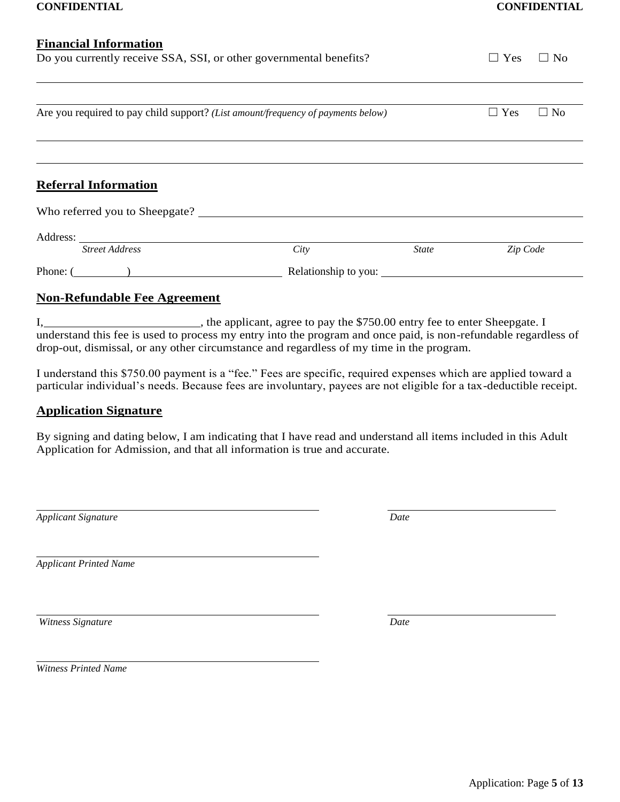| <b>Financial Information</b>                                                     |      |                      |            |           |
|----------------------------------------------------------------------------------|------|----------------------|------------|-----------|
| Do you currently receive SSA, SSI, or other governmental benefits?               |      |                      | $\Box$ Yes | $\Box$ No |
|                                                                                  |      |                      |            |           |
| Are you required to pay child support? (List amount/frequency of payments below) |      |                      | $\Box$ Yes | $\Box$ No |
|                                                                                  |      |                      |            |           |
| <b>Referral Information</b>                                                      |      |                      |            |           |
| Who referred you to Sheepgate?                                                   |      |                      |            |           |
|                                                                                  |      |                      |            |           |
| <b>Street Address</b>                                                            | City | <b>State</b>         | Zip Code   |           |
| Phone: $($                                                                       |      | Relationship to you: |            |           |

#### **Non-Refundable Fee Agreement**

I, 1. The applicant, agree to pay the \$750.00 entry fee to enter Sheepgate. I understand this fee is used to process my entry into the program and once paid, is non-refundable regardless of drop-out, dismissal, or any other circumstance and regardless of my time in the program.

I understand this \$750.00 payment is a "fee." Fees are specific, required expenses which are applied toward a particular individual's needs. Because fees are involuntary, payees are not eligible for a tax-deductible receipt.

#### **Application Signature**

By signing and dating below, I am indicating that I have read and understand all items included in this Adult Application for Admission, and that all information is true and accurate.

*Applicant Signature Date*

*Applicant Printed Name*

*Witness Signature Date*

*Witness Printed Name*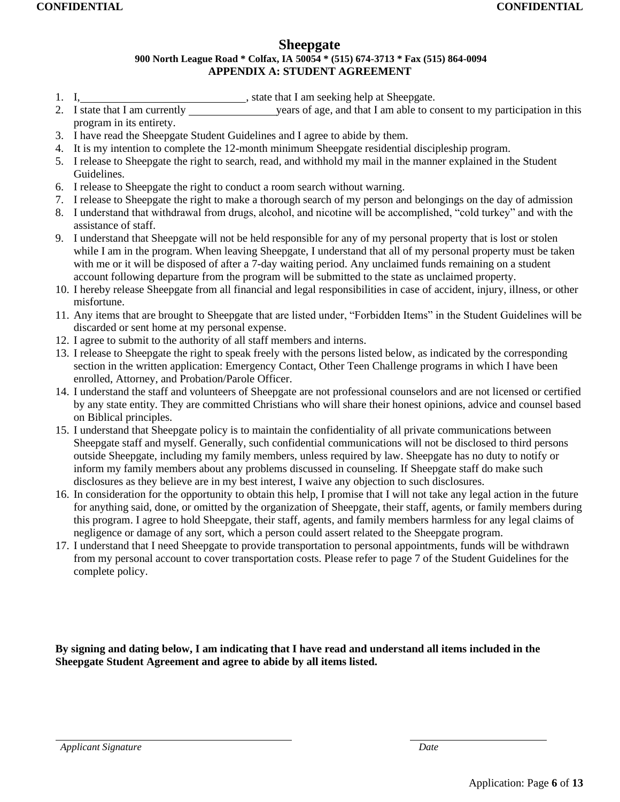## **Sheepgate**

#### **900 North League Road \* Colfax, IA 50054 \* (515) 674-3713 \* Fax (515) 864-0094 APPENDIX A: STUDENT AGREEMENT**

- 1. I, , state that I am seeking help at Sheepgate.
- 2. I state that I am currently years of age, and that I am able to consent to my participation in this program in its entirety.
- 3. I have read the Sheepgate Student Guidelines and I agree to abide by them.
- 4. It is my intention to complete the 12-month minimum Sheepgate residential discipleship program.
- 5. I release to Sheepgate the right to search, read, and withhold my mail in the manner explained in the Student Guidelines.
- 6. I release to Sheepgate the right to conduct a room search without warning.
- 7. I release to Sheepgate the right to make a thorough search of my person and belongings on the day of admission
- 8. I understand that withdrawal from drugs, alcohol, and nicotine will be accomplished, "cold turkey" and with the assistance of staff.
- 9. I understand that Sheepgate will not be held responsible for any of my personal property that is lost or stolen while I am in the program. When leaving Sheepgate, I understand that all of my personal property must be taken with me or it will be disposed of after a 7-day waiting period. Any unclaimed funds remaining on a student account following departure from the program will be submitted to the state as unclaimed property.
- 10. I hereby release Sheepgate from all financial and legal responsibilities in case of accident, injury, illness, or other misfortune.
- 11. Any items that are brought to Sheepgate that are listed under, "Forbidden Items" in the Student Guidelines will be discarded or sent home at my personal expense.
- 12. I agree to submit to the authority of all staff members and interns.
- 13. I release to Sheepgate the right to speak freely with the persons listed below, as indicated by the corresponding section in the written application: Emergency Contact, Other Teen Challenge programs in which I have been enrolled, Attorney, and Probation/Parole Officer.
- 14. I understand the staff and volunteers of Sheepgate are not professional counselors and are not licensed or certified by any state entity. They are committed Christians who will share their honest opinions, advice and counsel based on Biblical principles.
- 15. I understand that Sheepgate policy is to maintain the confidentiality of all private communications between Sheepgate staff and myself. Generally, such confidential communications will not be disclosed to third persons outside Sheepgate, including my family members, unless required by law. Sheepgate has no duty to notify or inform my family members about any problems discussed in counseling. If Sheepgate staff do make such disclosures as they believe are in my best interest, I waive any objection to such disclosures.
- 16. In consideration for the opportunity to obtain this help, I promise that I will not take any legal action in the future for anything said, done, or omitted by the organization of Sheepgate, their staff, agents, or family members during this program. I agree to hold Sheepgate, their staff, agents, and family members harmless for any legal claims of negligence or damage of any sort, which a person could assert related to the Sheepgate program.
- 17. I understand that I need Sheepgate to provide transportation to personal appointments, funds will be withdrawn from my personal account to cover transportation costs. Please refer to page 7 of the Student Guidelines for the complete policy.

**By signing and dating below, I am indicating that I have read and understand all items included in the Sheepgate Student Agreement and agree to abide by all items listed.**

*Applicant Signature Date*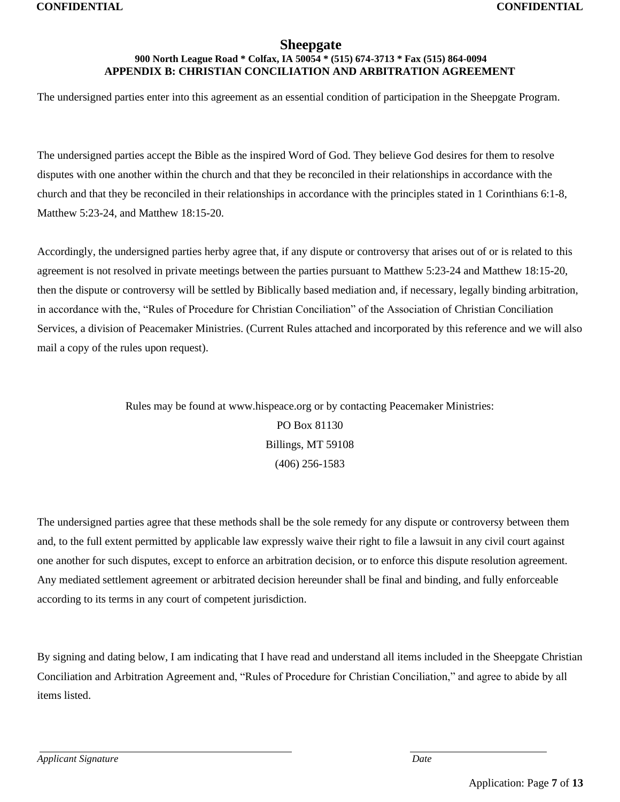#### **Sheepgate 900 North League Road \* Colfax, IA 50054 \* (515) 674-3713 \* Fax (515) 864-0094 APPENDIX B: CHRISTIAN CONCILIATION AND ARBITRATION AGREEMENT**

The undersigned parties enter into this agreement as an essential condition of participation in the Sheepgate Program.

The undersigned parties accept the Bible as the inspired Word of God. They believe God desires for them to resolve disputes with one another within the church and that they be reconciled in their relationships in accordance with the church and that they be reconciled in their relationships in accordance with the principles stated in 1 Corinthians 6:1-8, Matthew 5:23-24, and Matthew 18:15-20.

Accordingly, the undersigned parties herby agree that, if any dispute or controversy that arises out of or is related to this agreement is not resolved in private meetings between the parties pursuant to Matthew 5:23-24 and Matthew 18:15-20, then the dispute or controversy will be settled by Biblically based mediation and, if necessary, legally binding arbitration, in accordance with the, "Rules of Procedure for Christian Conciliation" of the Association of Christian Conciliation Services, a division of Peacemaker Ministries. (Current Rules attached and incorporated by this reference and we will also mail a copy of the rules upon request).

> Rules may be found at [www.hispeace.org](http://www.hispeace.org/) or by contacting Peacemaker Ministries: PO Box 81130 Billings, MT 59108 (406) 256-1583

The undersigned parties agree that these methods shall be the sole remedy for any dispute or controversy between them and, to the full extent permitted by applicable law expressly waive their right to file a lawsuit in any civil court against one another for such disputes, except to enforce an arbitration decision, or to enforce this dispute resolution agreement. Any mediated settlement agreement or arbitrated decision hereunder shall be final and binding, and fully enforceable according to its terms in any court of competent jurisdiction.

By signing and dating below, I am indicating that I have read and understand all items included in the Sheepgate Christian Conciliation and Arbitration Agreement and, "Rules of Procedure for Christian Conciliation," and agree to abide by all items listed.

*Applicant Signature* Date **Date** *Date Date Date Date Date Date Date Date Date Date Date Date Date Date Date Date Date Date Date Date Date Date Date Date Date Date Date*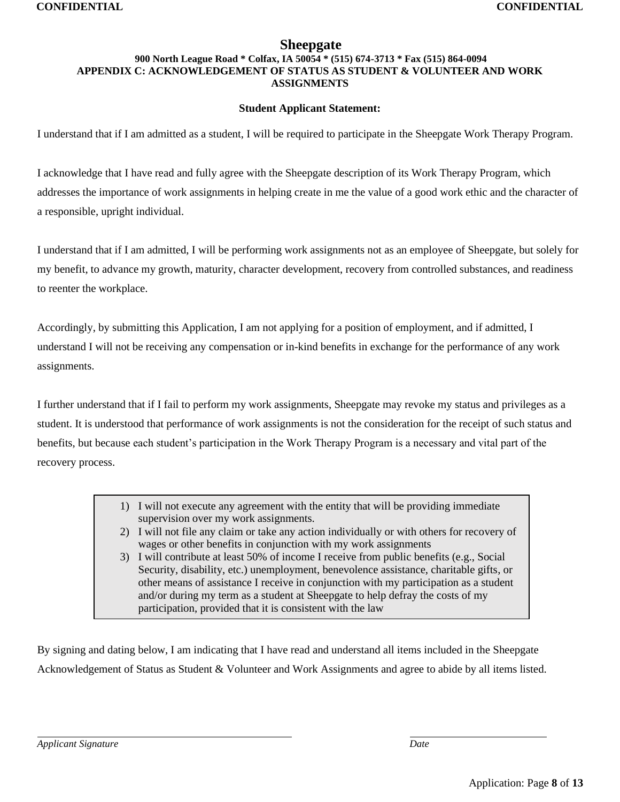### **Sheepgate**

#### **900 North League Road \* Colfax, IA 50054 \* (515) 674-3713 \* Fax (515) 864-0094 APPENDIX C: ACKNOWLEDGEMENT OF STATUS AS STUDENT & VOLUNTEER AND WORK ASSIGNMENTS**

#### **Student Applicant Statement:**

I understand that if I am admitted as a student, I will be required to participate in the Sheepgate Work Therapy Program.

I acknowledge that I have read and fully agree with the Sheepgate description of its Work Therapy Program, which addresses the importance of work assignments in helping create in me the value of a good work ethic and the character of a responsible, upright individual.

I understand that if I am admitted, I will be performing work assignments not as an employee of Sheepgate, but solely for my benefit, to advance my growth, maturity, character development, recovery from controlled substances, and readiness to reenter the workplace.

Accordingly, by submitting this Application, I am not applying for a position of employment, and if admitted, I understand I will not be receiving any compensation or in-kind benefits in exchange for the performance of any work assignments.

I further understand that if I fail to perform my work assignments, Sheepgate may revoke my status and privileges as a student. It is understood that performance of work assignments is not the consideration for the receipt of such status and benefits, but because each student's participation in the Work Therapy Program is a necessary and vital part of the recovery process.

- 1) I will not execute any agreement with the entity that will be providing immediate supervision over my work assignments.
- 2) I will not file any claim or take any action individually or with others for recovery of wages or other benefits in conjunction with my work assignments
- 3) I will contribute at least 50% of income I receive from public benefits (e.g., Social Security, disability, etc.) unemployment, benevolence assistance, charitable gifts, or other means of assistance I receive in conjunction with my participation as a student and/or during my term as a student at Sheepgate to help defray the costs of my participation, provided that it is consistent with the law

By signing and dating below, I am indicating that I have read and understand all items included in the Sheepgate Acknowledgement of Status as Student & Volunteer and Work Assignments and agree to abide by all items listed.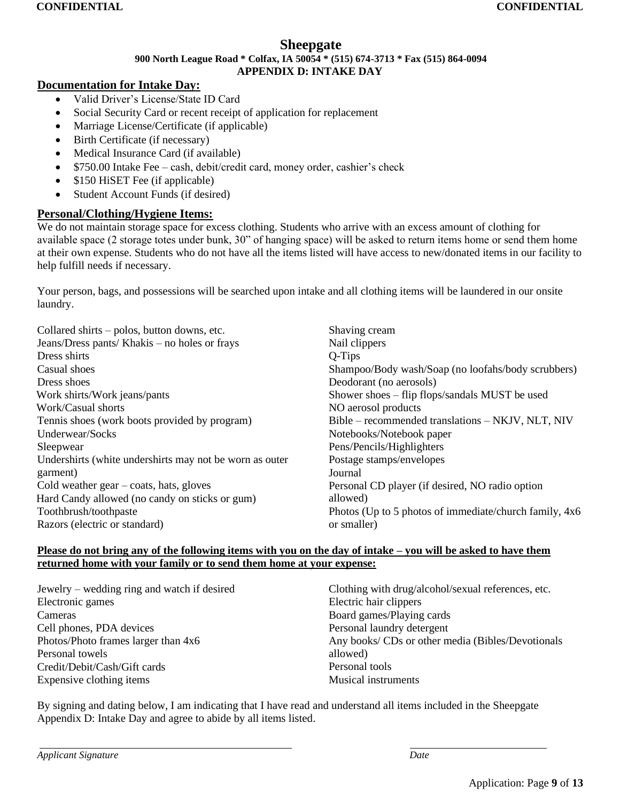#### **Sheepgate 900 North League Road \* Colfax, IA 50054 \* (515) 674-3713 \* Fax (515) 864-0094 APPENDIX D: INTAKE DAY**

#### **Documentation for Intake Day:**

- Valid Driver's License/State ID Card
- Social Security Card or recent receipt of application for replacement
- Marriage License/Certificate (if applicable)
- Birth Certificate (if necessary)
- Medical Insurance Card (if available)
- \$750.00 Intake Fee cash, debit/credit card, money order, cashier's check
- \$150 HiSET Fee (if applicable)
- Student Account Funds (if desired)

#### **Personal/Clothing/Hygiene Items:**

We do not maintain storage space for excess clothing. Students who arrive with an excess amount of clothing for available space (2 storage totes under bunk, 30" of hanging space) will be asked to return items home or send them home at their own expense. Students who do not have all the items listed will have access to new/donated items in our facility to help fulfill needs if necessary.

Your person, bags, and possessions will be searched upon intake and all clothing items will be laundered in our onsite laundry.

| Collared shirts – polos, button downs, etc.              | Shaving cream                                          |
|----------------------------------------------------------|--------------------------------------------------------|
| Jeans/Dress pants/ Khakis – no holes or frays            | Nail clippers                                          |
| Dress shirts                                             | $Q-Tips$                                               |
| Casual shoes                                             | Shampoo/Body wash/Soap (no loofahs/body scrubbers)     |
| Dress shoes                                              | Deodorant (no aerosols)                                |
| Work shirts/Work jeans/pants                             | Shower shoes – flip flops/sandals MUST be used         |
| Work/Casual shorts                                       | NO aerosol products                                    |
| Tennis shoes (work boots provided by program)            | Bible – recommended translations – NKJV, NLT, NIV      |
| Underwear/Socks                                          | Notebooks/Notebook paper                               |
| Sleepwear                                                | Pens/Pencils/Highlighters                              |
| Undershirts (white undershirts may not be worn as outer  | Postage stamps/envelopes                               |
| garment)                                                 | Journal                                                |
| Cold weather $\text{gear} - \text{coats}$ , hats, gloves | Personal CD player (if desired, NO radio option        |
| Hard Candy allowed (no candy on sticks or gum)           | allowed)                                               |
| Toothbrush/toothpaste                                    | Photos (Up to 5 photos of immediate/church family, 4x6 |
| Razors (electric or standard)                            | or smaller)                                            |

#### **Please do not bring any of the following items with you on the day of intake – you will be asked to have them returned home with your family or to send them home at your expense:**

| Jewelry – wedding ring and watch if desired | Clothing with drug/alcohol/sexual references, etc. |
|---------------------------------------------|----------------------------------------------------|
| Electronic games                            | Electric hair clippers                             |
| Cameras                                     | Board games/Playing cards                          |
| Cell phones, PDA devices                    | Personal laundry detergent                         |
| Photos/Photo frames larger than 4x6         | Any books/ CDs or other media (Bibles/Devotionals  |
| Personal towels                             | allowed)                                           |
| Credit/Debit/Cash/Gift cards                | Personal tools                                     |
| Expensive clothing items                    | <b>Musical instruments</b>                         |
|                                             |                                                    |

By signing and dating below, I am indicating that I have read and understand all items included in the Sheepgate Appendix D: Intake Day and agree to abide by all items listed.

*Applicant Signature Date*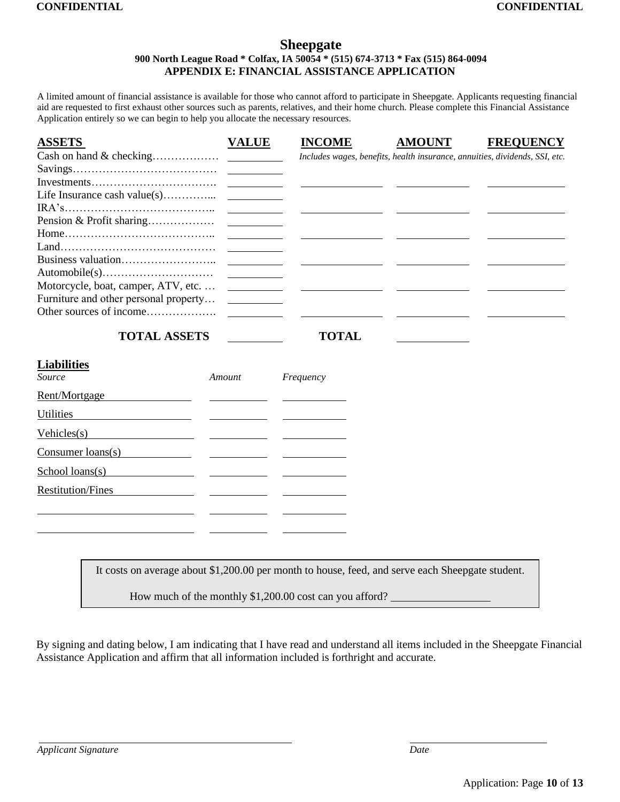#### **Sheepgate 900 North League Road \* Colfax, IA 50054 \* (515) 674-3713 \* Fax (515) 864-0094 APPENDIX E: FINANCIAL ASSISTANCE APPLICATION**

A limited amount of financial assistance is available for those who cannot afford to participate in Sheepgate. Applicants requesting financial aid are requested to first exhaust other sources such as parents, relatives, and their home church. Please complete this Financial Assistance Application entirely so we can begin to help you allocate the necessary resources.

| <b>ASSETS</b>                                                                                    | <b>VALUE</b> | <b>INCOME</b>                                                               | <b>AMOUNT</b> | <b>FREQUENCY</b> |
|--------------------------------------------------------------------------------------------------|--------------|-----------------------------------------------------------------------------|---------------|------------------|
| Cash on hand & checking                                                                          |              | Includes wages, benefits, health insurance, annuities, dividends, SSI, etc. |               |                  |
|                                                                                                  |              |                                                                             |               |                  |
|                                                                                                  |              |                                                                             |               |                  |
| Life Insurance cash value(s)                                                                     |              |                                                                             |               |                  |
|                                                                                                  |              |                                                                             |               |                  |
| Pension & Profit sharing                                                                         |              |                                                                             |               |                  |
| $Home \dots \dots \dots \dots \dots \dots \dots \dots \dots \dots \dots \dots$                   |              |                                                                             |               |                  |
|                                                                                                  |              |                                                                             |               |                  |
|                                                                                                  |              |                                                                             |               |                  |
|                                                                                                  |              |                                                                             |               |                  |
| Motorcycle, boat, camper, ATV, etc.                                                              |              |                                                                             |               |                  |
| Furniture and other personal property                                                            |              |                                                                             |               |                  |
| Other sources of income                                                                          |              |                                                                             |               |                  |
|                                                                                                  |              |                                                                             |               |                  |
| <b>TOTAL ASSETS</b>                                                                              |              | <b>TOTAL</b>                                                                |               |                  |
|                                                                                                  |              |                                                                             |               |                  |
| <b>Liabilities</b><br>Source                                                                     | Amount       | Frequency                                                                   |               |                  |
|                                                                                                  |              |                                                                             |               |                  |
| Rent/Mortgage                                                                                    |              |                                                                             |               |                  |
| Utilities                                                                                        |              |                                                                             |               |                  |
| Vehicles(s)                                                                                      |              |                                                                             |               |                  |
| Consumer loans(s)                                                                                |              |                                                                             |               |                  |
| School loans(s)                                                                                  |              |                                                                             |               |                  |
| <b>Restitution/Fines</b>                                                                         |              |                                                                             |               |                  |
|                                                                                                  |              |                                                                             |               |                  |
|                                                                                                  |              |                                                                             |               |                  |
|                                                                                                  |              |                                                                             |               |                  |
|                                                                                                  |              |                                                                             |               |                  |
|                                                                                                  |              |                                                                             |               |                  |
| It costs on average about \$1,200.00 per month to house, feed, and serve each Sheepgate student. |              |                                                                             |               |                  |
|                                                                                                  |              |                                                                             |               |                  |
|                                                                                                  |              | How much of the monthly \$1,200.00 cost can you afford?                     |               |                  |

By signing and dating below, I am indicating that I have read and understand all items included in the Sheepgate Financial Assistance Application and affirm that all information included is forthright and accurate.

 $\mathsf{I}$ 

*Applicant Signature Date*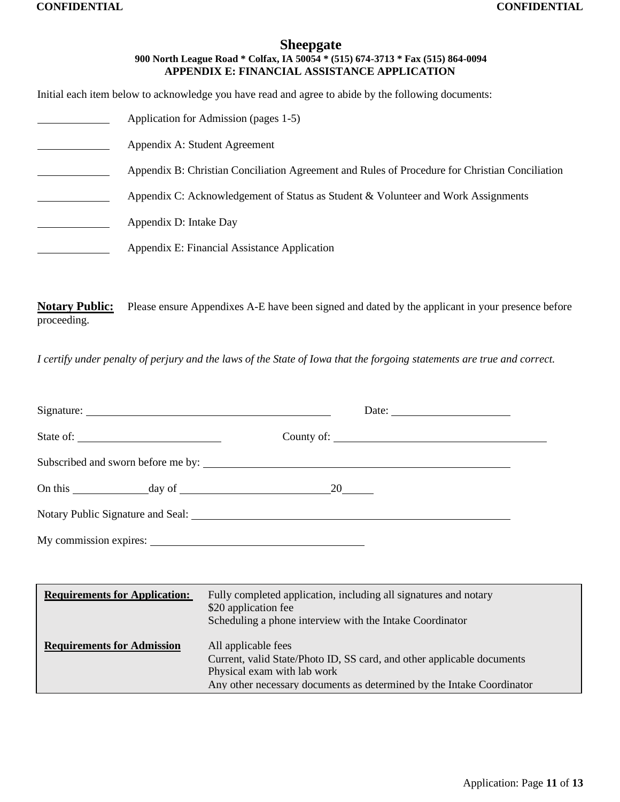### **Sheepgate 900 North League Road \* Colfax, IA 50054 \* (515) 674-3713 \* Fax (515) 864-0094 APPENDIX E: FINANCIAL ASSISTANCE APPLICATION**

Initial each item below to acknowledge you have read and agree to abide by the following documents:

| Application for Admission (pages 1-5)                                                          |
|------------------------------------------------------------------------------------------------|
| Appendix A: Student Agreement                                                                  |
| Appendix B: Christian Conciliation Agreement and Rules of Procedure for Christian Conciliation |
| Appendix C: Acknowledgement of Status as Student & Volunteer and Work Assignments              |
| Appendix D: Intake Day                                                                         |
| Appendix E: Financial Assistance Application                                                   |

**Notary Public:** Please ensure Appendixes A-E have been signed and dated by the applicant in your presence before proceeding.

*I certify under penalty of perjury and the laws of the State of Iowa that the forgoing statements are true and correct.*

| State of:                            |                                                                                                                                                      |  |
|--------------------------------------|------------------------------------------------------------------------------------------------------------------------------------------------------|--|
|                                      | Subscribed and sworn before me by:                                                                                                                   |  |
|                                      |                                                                                                                                                      |  |
|                                      |                                                                                                                                                      |  |
| My commission expires:               |                                                                                                                                                      |  |
|                                      |                                                                                                                                                      |  |
| <b>Requirements for Application:</b> | Fully completed application, including all signatures and notary<br>\$20 application fee<br>Scheduling a phone interview with the Intake Coordinator |  |
| <b>Requirements for Admission</b>    | All applicable fees<br>Current, valid State/Photo ID, SS card, and other applicable documents<br>Physical exam with lab work                         |  |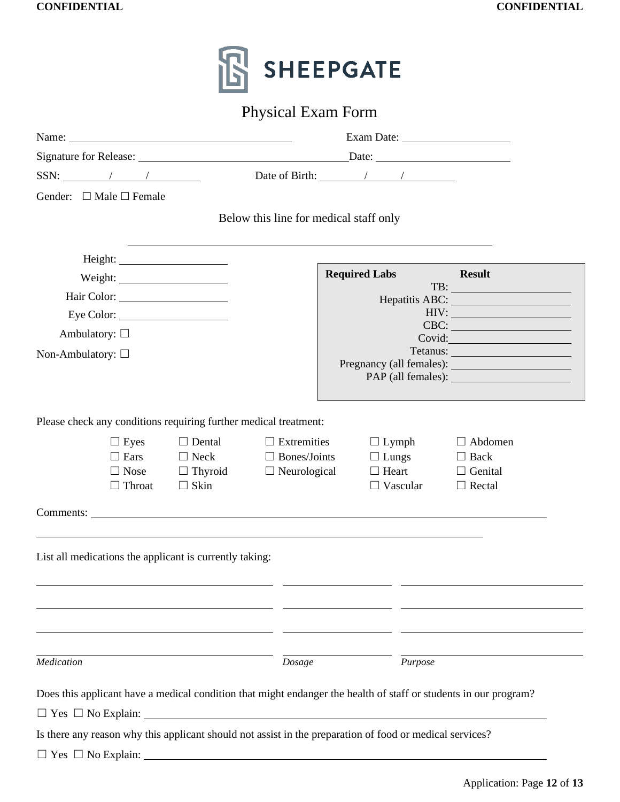|                                                                                                                  | <b>Physical Exam Form</b>              |                                                                                             |                                                                                    |
|------------------------------------------------------------------------------------------------------------------|----------------------------------------|---------------------------------------------------------------------------------------------|------------------------------------------------------------------------------------|
|                                                                                                                  |                                        |                                                                                             |                                                                                    |
| Signature for Release: <u>Date:</u> Date: Date:                                                                  |                                        |                                                                                             |                                                                                    |
| $SSN:$ / / $\qquad$                                                                                              |                                        | Date of Birth: $\frac{1}{\sqrt{1-\frac{1}{2}}}\left  \frac{1}{\sqrt{1-\frac{1}{2}}}\right $ |                                                                                    |
| Gender: $\Box$ Male $\Box$ Female                                                                                |                                        |                                                                                             |                                                                                    |
|                                                                                                                  | Below this line for medical staff only |                                                                                             |                                                                                    |
|                                                                                                                  |                                        |                                                                                             |                                                                                    |
|                                                                                                                  |                                        | Required Labs Result                                                                        |                                                                                    |
|                                                                                                                  |                                        |                                                                                             | $\boxed{\text{TB:}\qquad \qquad \qquad }$<br>Hepatitis ABC: New York Contains ABC: |
| Eye Color:                                                                                                       |                                        |                                                                                             | HIV:                                                                               |
| Ambulatory: $\square$                                                                                            |                                        |                                                                                             | $\text{CBC:}\n\qquad \qquad \qquad$<br>Covid:                                      |
| Non-Ambulatory: $\square$                                                                                        |                                        |                                                                                             | Tetanus:                                                                           |
|                                                                                                                  |                                        |                                                                                             |                                                                                    |
|                                                                                                                  |                                        |                                                                                             |                                                                                    |
| Please check any conditions requiring further medical treatment:                                                 |                                        |                                                                                             |                                                                                    |
| $\Box$ Eyes<br>$\Box$ Dental                                                                                     | $\Box$ Extremities                     | $\Box$ Lymph                                                                                | $\Box$ Abdomen                                                                     |
| $\Box$ Ears                                                                                                      | $\Box$ Neck $\Box$ Bones/Joints        | $\Box$ Lungs                                                                                | $\Box$ Back                                                                        |
| $\Box$ Thyroid<br>$\Box$ Nose                                                                                    | $\Box$ Neurological                    | $\Box$ Heart<br>$\Box$ Vascular                                                             | $\Box$ Genital<br>$\Box$ Rectal                                                    |
|                                                                                                                  |                                        |                                                                                             |                                                                                    |
| $\Box$ Skin<br>$\Box$ Throat                                                                                     |                                        |                                                                                             |                                                                                    |
|                                                                                                                  |                                        |                                                                                             |                                                                                    |
|                                                                                                                  |                                        |                                                                                             |                                                                                    |
|                                                                                                                  |                                        |                                                                                             |                                                                                    |
|                                                                                                                  |                                        |                                                                                             |                                                                                    |
| List all medications the applicant is currently taking:                                                          |                                        |                                                                                             |                                                                                    |
|                                                                                                                  |                                        |                                                                                             |                                                                                    |
|                                                                                                                  |                                        |                                                                                             |                                                                                    |
|                                                                                                                  |                                        |                                                                                             |                                                                                    |
| Medication                                                                                                       | Dosage                                 | Purpose                                                                                     |                                                                                    |
|                                                                                                                  |                                        |                                                                                             |                                                                                    |
| Does this applicant have a medical condition that might endanger the health of staff or students in our program? |                                        |                                                                                             |                                                                                    |